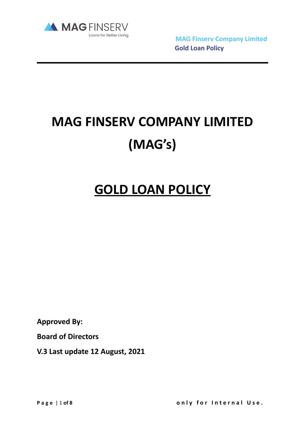

Loans for Better Living<br> **MAG Finserv Company Limited Gold Loan Policy**

# **MAG FINSERV COMPANY LIMITED (MAG's)**

# **GOLD LOAN POLICY**

**Approved By:** 

**Board of Directors** 

**V.3 Last update 12 August, 2021**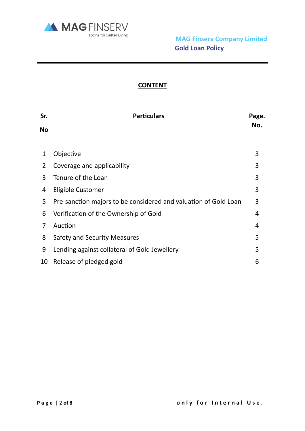

# **CONTENT**

| Sr.            | <b>Particulars</b>                                              | Page. |
|----------------|-----------------------------------------------------------------|-------|
| <b>No</b>      |                                                                 | No.   |
|                |                                                                 |       |
| 1              | Objective                                                       | 3     |
| $\overline{2}$ | Coverage and applicability                                      | 3     |
| 3              | Tenure of the Loan                                              | 3     |
| 4              | Eligible Customer                                               | 3     |
| 5              | Pre-sanction majors to be considered and valuation of Gold Loan | 3     |
| 6              | Verification of the Ownership of Gold                           | 4     |
| 7              | Auction                                                         | 4     |
| 8              | <b>Safety and Security Measures</b>                             | 5     |
| 9              | Lending against collateral of Gold Jewellery                    | 5     |
| 10             | Release of pledged gold                                         | 6     |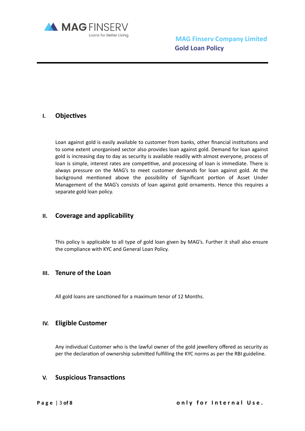

# **I.** Objectives

Loan against gold is easily available to customer from banks, other financial institutions and to some extent unorganised sector also provides loan against gold. Demand for loan against gold is increasing day to day as security is available readily with almost everyone, process of loan is simple, interest rates are competitive, and processing of loan is immediate. There is always pressure on the MAG's to meet customer demands for loan against gold. At the background mentioned above the possibility of Significant portion of Asset Under Management of the MAG's consists of loan against gold ornaments. Hence this requires a separate gold loan policy.

#### **II. Coverage and applicability**

This policy is applicable to all type of gold loan given by MAG's. Further it shall also ensure the compliance with KYC and General Loan Policy.

### **III. Tenure of the Loan**

All gold loans are sanctioned for a maximum tenor of 12 Months.

#### **IV. Eligible Customer**

Any individual Customer who is the lawful owner of the gold jewellery offered as security as per the declaration of ownership submitted fulfilling the KYC norms as per the RBI guideline.

#### **V.** Suspicious Transactions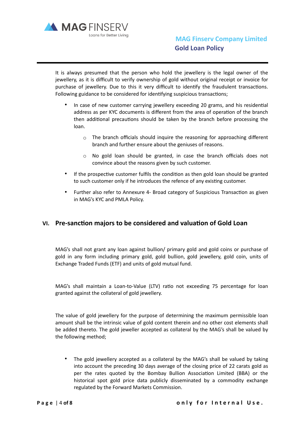

It is always presumed that the person who hold the jewellery is the legal owner of the jewellery, as it is difficult to verify ownership of gold without original receipt or invoice for purchase of jewellery. Due to this it very difficult to identify the fraudulent transactions. Following guidance to be considered for identifying suspicious transactions;

- In case of new customer carrying jewellery exceeding 20 grams, and his residential address as per KYC documents is different from the area of operation of the branch then additional precautions should be taken by the branch before processing the loan.
	- $\circ$  The branch officials should inquire the reasoning for approaching different branch and further ensure about the geniuses of reasons.
	- o No gold loan should be granted, in case the branch officials does not convince about the reasons given by such customer.
- If the prospective customer fulfils the condition as then gold loan should be granted to such customer only if he introduces the refence of any existing customer.
- Further also refer to Annexure 4- Broad category of Suspicious Transaction as given in MAG's KYC and PMLA Policy.

# **VI.** Pre-sanction majors to be considered and valuation of Gold Loan

MAG's shall not grant any loan against bullion/ primary gold and gold coins or purchase of gold in any form including primary gold, gold bullion, gold jewellery, gold coin, units of Exchange Traded Funds (ETF) and units of gold mutual fund.

MAG's shall maintain a Loan-to-Value (LTV) ratio not exceeding 75 percentage for loan granted against the collateral of gold jewellery.

The value of gold jewellery for the purpose of determining the maximum permissible loan amount shall be the intrinsic value of gold content therein and no other cost elements shall be added thereto. The gold jeweller accepted as collateral by the MAG's shall be valued by the following method;

• The gold jewellery accepted as a collateral by the MAG's shall be valued by taking into account the preceding 30 days average of the closing price of 22 carats gold as per the rates quoted by the Bombay Bullion Association Limited (BBA) or the historical spot gold price data publicly disseminated by a commodity exchange regulated by the Forward Markets Commission.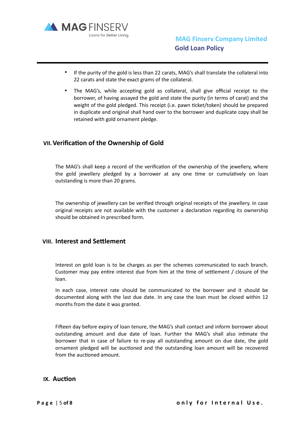

- If the purity of the gold is less than 22 carats, MAG's shall translate the collateral into 22 carats and state the exact grams of the collateral.
- The MAG's, while accepting gold as collateral, shall give official receipt to the borrower, of having assayed the gold and state the purity (in terms of carat) and the weight of the gold pledged. This receipt (i.e. pawn ticket/token) should be prepared in duplicate and original shall hand over to the borrower and duplicate copy shall be retained with gold ornament pledge.

#### **VII. Verification of the Ownership of Gold**

The MAG's shall keep a record of the verification of the ownership of the jewellery, where the gold jewellery pledged by a borrower at any one time or cumulatively on loan outstanding is more than 20 grams.

The ownership of jewellery can be verified through original receipts of the jewellery. In case original receipts are not available with the customer a declaration regarding its ownership should be obtained in prescribed form.

#### **VIII.** Interest and Settlement

Interest on gold loan is to be charges as per the schemes communicated to each branch. Customer may pay entire interest due from him at the time of settlement / closure of the loan.

In each case, interest rate should be communicated to the borrower and it should be documented along with the last due date. In any case the loan must be closed within 12 months from the date it was granted.

Fifteen day before expiry of loan tenure, the MAG's shall contact and inform borrower about outstanding amount and due date of loan. Further the MAG's shall also intimate the borrower that in case of failure to re-pay all outstanding amount on due date, the gold ornament pledged will be auctioned and the outstanding loan amount will be recovered from the auctioned amount.

#### **IX.** Auction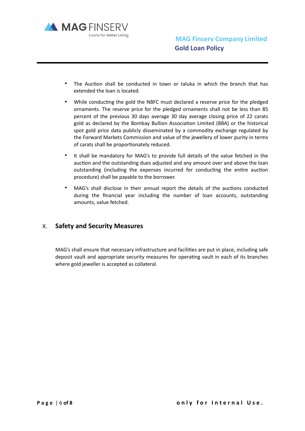

- The Auction shall be conducted in town or taluka in which the branch that has extended the loan is located.
- While conducting the gold the NBFC must declared a reserve price for the pledged ornaments. The reserve price for the pledged ornaments shall not be less than 85 percent of the previous 30 days average 30 day average closing price of 22 carats gold as declared by the Bombay Bullion Association Limited (BBA) or the historical spot gold price data publicly disseminated by a commodity exchange regulated by the Forward Markets Commission and value of the jewellery of lower purity in terms of carats shall be proportionately reduced.
- It shall be mandatory for MAG's to provide full details of the value fetched in the auction and the outstanding dues adjusted and any amount over and above the loan outstanding (including the expenses incurred for conducting the entire auction procedure) shall be payable to the borrower.
- MAG's shall disclose in their annual report the details of the auctions conducted during the financial year including the number of loan accounts, outstanding amounts, value fetched.

# X. **Safety and Security Measures**

MAG's shall ensure that necessary infrastructure and facilities are put in place, including safe deposit vault and appropriate security measures for operating vault in each of its branches where gold jeweller is accepted as collateral.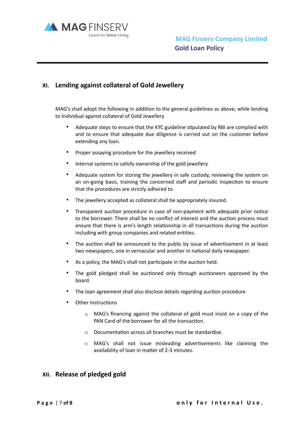

## **XI. Lending against collateral of Gold Jewellery**

MAG's shall adopt the following in addition to the general guidelines as above, while lending to Individual against collateral of Gold Jewellery

- Adequate steps to ensure that the KYC guideline stipulated by RBI are complied with and to ensure that adequate due diligence is carried out on the customer before extending any loan.
- Proper assaying procedure for the jewellery received
- Internal systems to satisfy ownership of the gold jewellery
- Adequate system for storing the jewellery in safe custody, reviewing the system on an on-going basis, training the concerned staff and periodic inspection to ensure that the procedures are strictly adhered to.
- The jewellery accepted as collateral shall be appropriately insured.
- Transparent auction procedure in case of non-payment with adequate prior notice to the borrower. There shall be no conflict of interest and the auction process must ensure that there is arm's length relationship in all transactions during the auction including with group companies and related entities.
- The auction shall be announced to the public by issue of advertisement in at least two newspapers, one in vernacular and another in national daily newspaper.
- As a policy, the MAG's shall not participate in the auction held.
- The gold pledged shall be auctioned only through auctioneers approved by the board.
- The loan agreement shall also disclose details regarding auction procedure
- Other Instructions
	- o MAG's financing against the collateral of gold must insist on a copy of the PAN Card of the borrower for all the transaction.
	- $\circ$  Documentation across all branches must be standardise.
	- $\circ$  MAG's shall not issue misleading advertisements like claiming the availability of loan in matter of 2-3 minutes.

# **XII. Release of pledged gold**